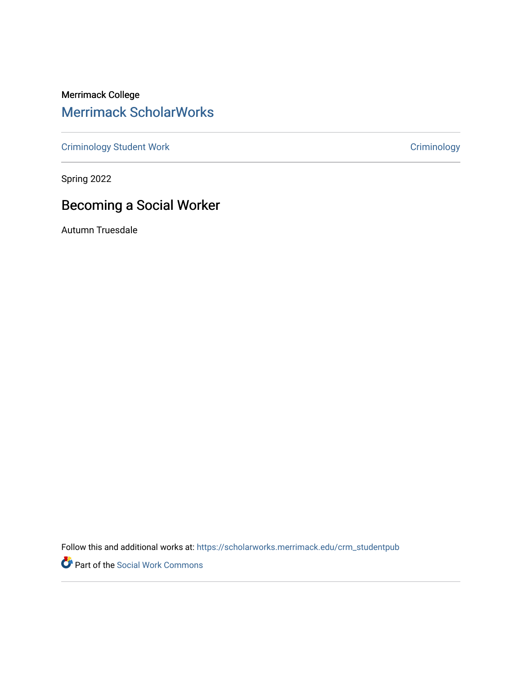Merrimack College [Merrimack ScholarWorks](https://scholarworks.merrimack.edu/) 

[Criminology Student Work](https://scholarworks.merrimack.edu/crm_studentpub) [Criminology](https://scholarworks.merrimack.edu/crm) Criminology

Spring 2022

# Becoming a Social Worker

Autumn Truesdale

Follow this and additional works at: [https://scholarworks.merrimack.edu/crm\\_studentpub](https://scholarworks.merrimack.edu/crm_studentpub?utm_source=scholarworks.merrimack.edu%2Fcrm_studentpub%2F48&utm_medium=PDF&utm_campaign=PDFCoverPages) 

Part of the [Social Work Commons](https://network.bepress.com/hgg/discipline/713?utm_source=scholarworks.merrimack.edu%2Fcrm_studentpub%2F48&utm_medium=PDF&utm_campaign=PDFCoverPages)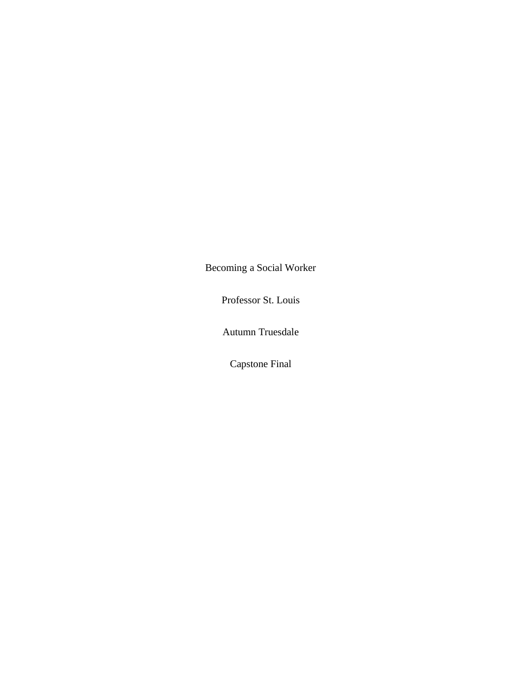Becoming a Social Worker

Professor St. Louis

Autumn Truesdale

Capstone Final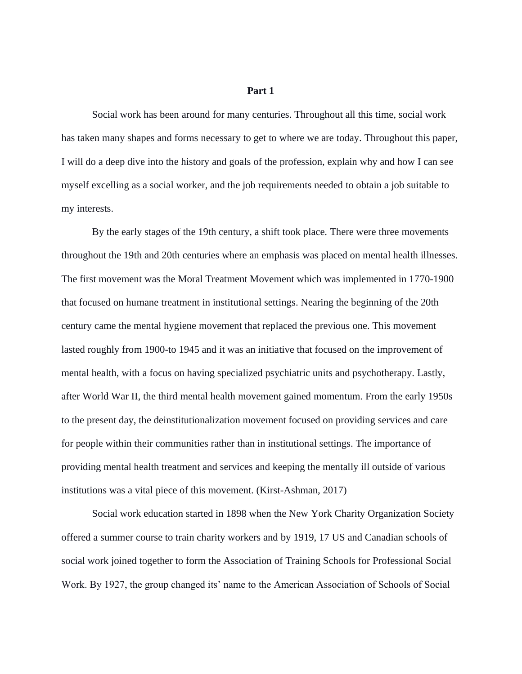# **Part 1**

Social work has been around for many centuries. Throughout all this time, social work has taken many shapes and forms necessary to get to where we are today. Throughout this paper, I will do a deep dive into the history and goals of the profession, explain why and how I can see myself excelling as a social worker, and the job requirements needed to obtain a job suitable to my interests.

By the early stages of the 19th century, a shift took place. There were three movements throughout the 19th and 20th centuries where an emphasis was placed on mental health illnesses. The first movement was the Moral Treatment Movement which was implemented in 1770-1900 that focused on humane treatment in institutional settings. Nearing the beginning of the 20th century came the mental hygiene movement that replaced the previous one. This movement lasted roughly from 1900-to 1945 and it was an initiative that focused on the improvement of mental health, with a focus on having specialized psychiatric units and psychotherapy. Lastly, after World War II, the third mental health movement gained momentum. From the early 1950s to the present day, the deinstitutionalization movement focused on providing services and care for people within their communities rather than in institutional settings. The importance of providing mental health treatment and services and keeping the mentally ill outside of various institutions was a vital piece of this movement. (Kirst-Ashman, 2017)

Social work education started in 1898 when the New York Charity Organization Society offered a summer course to train charity workers and by 1919, 17 US and Canadian schools of social work joined together to form the Association of Training Schools for Professional Social Work. By 1927, the group changed its' name to the American Association of Schools of Social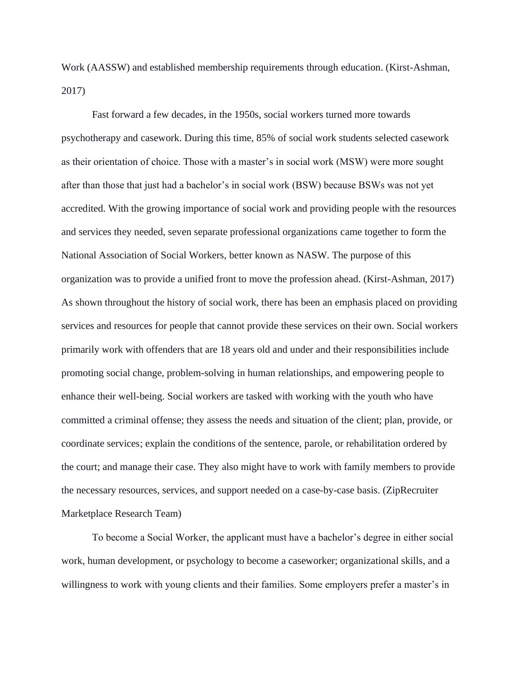Work (AASSW) and established membership requirements through education. (Kirst-Ashman, 2017)

Fast forward a few decades, in the 1950s, social workers turned more towards psychotherapy and casework. During this time, 85% of social work students selected casework as their orientation of choice. Those with a master's in social work (MSW) were more sought after than those that just had a bachelor's in social work (BSW) because BSWs was not yet accredited. With the growing importance of social work and providing people with the resources and services they needed, seven separate professional organizations came together to form the National Association of Social Workers, better known as NASW. The purpose of this organization was to provide a unified front to move the profession ahead. (Kirst-Ashman, 2017) As shown throughout the history of social work, there has been an emphasis placed on providing services and resources for people that cannot provide these services on their own. Social workers primarily work with offenders that are 18 years old and under and their responsibilities include promoting social change, problem-solving in human relationships, and empowering people to enhance their well-being. Social workers are tasked with working with the youth who have committed a criminal offense; they assess the needs and situation of the client; plan, provide, or coordinate services; explain the conditions of the sentence, parole, or rehabilitation ordered by the court; and manage their case. They also might have to work with family members to provide the necessary resources, services, and support needed on a case-by-case basis. (ZipRecruiter Marketplace Research Team)

To become a Social Worker, the applicant must have a bachelor's degree in either social work, human development, or psychology to become a caseworker; organizational skills, and a willingness to work with young clients and their families. Some employers prefer a master's in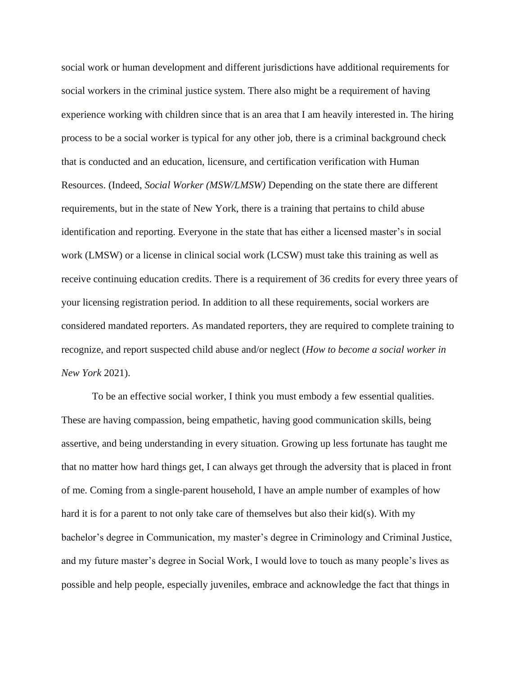social work or human development and different jurisdictions have additional requirements for social workers in the criminal justice system. There also might be a requirement of having experience working with children since that is an area that I am heavily interested in. The hiring process to be a social worker is typical for any other job, there is a criminal background check that is conducted and an education, licensure, and certification verification with Human Resources. (Indeed, *Social Worker (MSW/LMSW)* Depending on the state there are different requirements, but in the state of New York, there is a training that pertains to child abuse identification and reporting. Everyone in the state that has either a licensed master's in social work (LMSW) or a license in clinical social work (LCSW) must take this training as well as receive continuing education credits. There is a requirement of 36 credits for every three years of your licensing registration period. In addition to all these requirements, social workers are considered mandated reporters. As mandated reporters, they are required to complete training to recognize, and report suspected child abuse and/or neglect (*How to become a social worker in New York* 2021).

To be an effective social worker, I think you must embody a few essential qualities. These are having compassion, being empathetic, having good communication skills, being assertive, and being understanding in every situation. Growing up less fortunate has taught me that no matter how hard things get, I can always get through the adversity that is placed in front of me. Coming from a single-parent household, I have an ample number of examples of how hard it is for a parent to not only take care of themselves but also their kid(s). With my bachelor's degree in Communication, my master's degree in Criminology and Criminal Justice, and my future master's degree in Social Work, I would love to touch as many people's lives as possible and help people, especially juveniles, embrace and acknowledge the fact that things in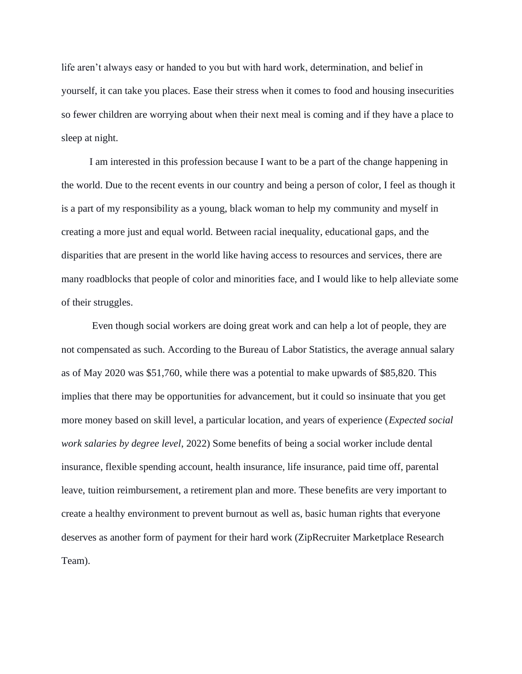life aren't always easy or handed to you but with hard work, determination, and belief in yourself, it can take you places. Ease their stress when it comes to food and housing insecurities so fewer children are worrying about when their next meal is coming and if they have a place to sleep at night.

I am interested in this profession because I want to be a part of the change happening in the world. Due to the recent events in our country and being a person of color, I feel as though it is a part of my responsibility as a young, black woman to help my community and myself in creating a more just and equal world. Between racial inequality, educational gaps, and the disparities that are present in the world like having access to resources and services, there are many roadblocks that people of color and minorities face, and I would like to help alleviate some of their struggles.

Even though social workers are doing great work and can help a lot of people, they are not compensated as such. According to the Bureau of Labor Statistics, the average annual salary as of May 2020 was \$51,760, while there was a potential to make upwards of \$85,820. This implies that there may be opportunities for advancement, but it could so insinuate that you get more money based on skill level, a particular location, and years of experience (*Expected social work salaries by degree level*, 2022) Some benefits of being a social worker include dental insurance, flexible spending account, health insurance, life insurance, paid time off, parental leave, tuition reimbursement, a retirement plan and more. These benefits are very important to create a healthy environment to prevent burnout as well as, basic human rights that everyone deserves as another form of payment for their hard work (ZipRecruiter Marketplace Research Team).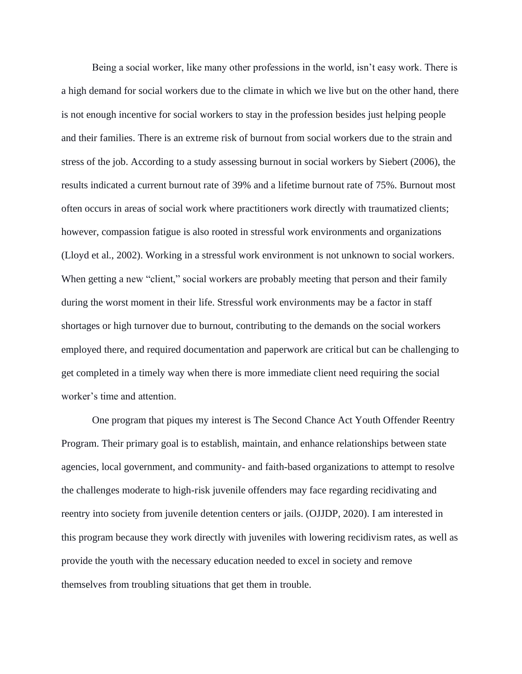Being a social worker, like many other professions in the world, isn't easy work. There is a high demand for social workers due to the climate in which we live but on the other hand, there is not enough incentive for social workers to stay in the profession besides just helping people and their families. There is an extreme risk of burnout from social workers due to the strain and stress of the job. According to a study assessing burnout in social workers by Siebert (2006), the results indicated a current burnout rate of 39% and a lifetime burnout rate of 75%. Burnout most often occurs in areas of social work where practitioners work directly with traumatized clients; however, compassion fatigue is also rooted in stressful work environments and organizations (Lloyd et al., 2002). Working in a stressful work environment is not unknown to social workers. When getting a new "client," social workers are probably meeting that person and their family during the worst moment in their life. Stressful work environments may be a factor in staff shortages or high turnover due to burnout, contributing to the demands on the social workers employed there, and required documentation and paperwork are critical but can be challenging to get completed in a timely way when there is more immediate client need requiring the social worker's time and attention.

One program that piques my interest is The Second Chance Act Youth Offender Reentry Program. Their primary goal is to establish, maintain, and enhance relationships between state agencies, local government, and community- and faith-based organizations to attempt to resolve the challenges moderate to high-risk juvenile offenders may face regarding recidivating and reentry into society from juvenile detention centers or jails. (OJJDP, 2020). I am interested in this program because they work directly with juveniles with lowering recidivism rates, as well as provide the youth with the necessary education needed to excel in society and remove themselves from troubling situations that get them in trouble.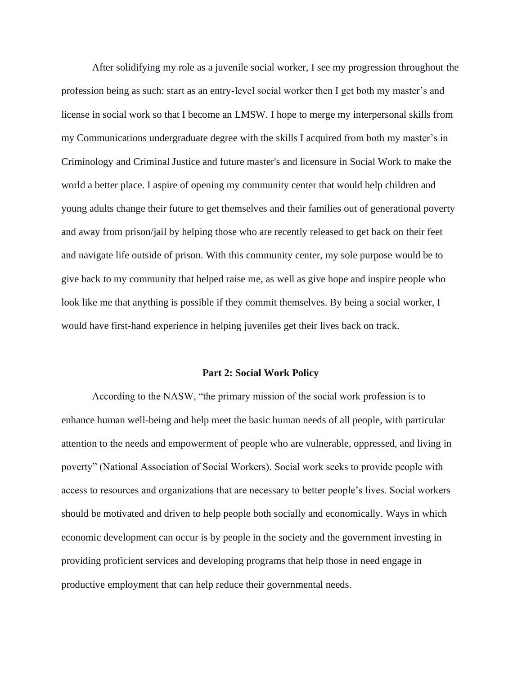After solidifying my role as a juvenile social worker, I see my progression throughout the profession being as such: start as an entry-level social worker then I get both my master's and license in social work so that I become an LMSW. I hope to merge my interpersonal skills from my Communications undergraduate degree with the skills I acquired from both my master's in Criminology and Criminal Justice and future master's and licensure in Social Work to make the world a better place. I aspire of opening my community center that would help children and young adults change their future to get themselves and their families out of generational poverty and away from prison/jail by helping those who are recently released to get back on their feet and navigate life outside of prison. With this community center, my sole purpose would be to give back to my community that helped raise me, as well as give hope and inspire people who look like me that anything is possible if they commit themselves. By being a social worker, I would have first-hand experience in helping juveniles get their lives back on track.

# **Part 2: Social Work Policy**

According to the NASW, "the primary mission of the social work profession is to enhance human well-being and help meet the basic human needs of all people, with particular attention to the needs and empowerment of people who are vulnerable, oppressed, and living in poverty" (National Association of Social Workers). Social work seeks to provide people with access to resources and organizations that are necessary to better people's lives. Social workers should be motivated and driven to help people both socially and economically. Ways in which economic development can occur is by people in the society and the government investing in providing proficient services and developing programs that help those in need engage in productive employment that can help reduce their governmental needs.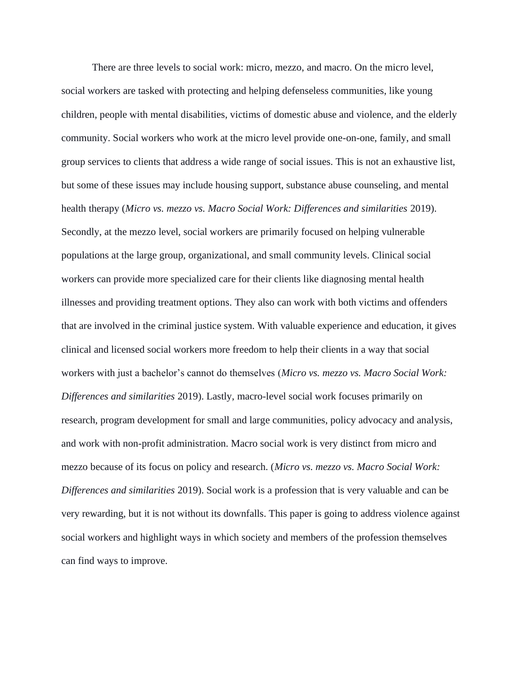There are three levels to social work: micro, mezzo, and macro. On the micro level, social workers are tasked with protecting and helping defenseless communities, like young children, people with mental disabilities, victims of domestic abuse and violence, and the elderly community. Social workers who work at the micro level provide one-on-one, family, and small group services to clients that address a wide range of social issues. This is not an exhaustive list, but some of these issues may include housing support, substance abuse counseling, and mental health therapy (*Micro vs. mezzo vs. Macro Social Work: Differences and similarities* 2019). Secondly, at the mezzo level, social workers are primarily focused on helping vulnerable populations at the large group, organizational, and small community levels. Clinical social workers can provide more specialized care for their clients like diagnosing mental health illnesses and providing treatment options. They also can work with both victims and offenders that are involved in the criminal justice system. With valuable experience and education, it gives clinical and licensed social workers more freedom to help their clients in a way that social workers with just a bachelor's cannot do themselves (*Micro vs. mezzo vs. Macro Social Work: Differences and similarities* 2019). Lastly, macro-level social work focuses primarily on research, program development for small and large communities, policy advocacy and analysis, and work with non-profit administration. Macro social work is very distinct from micro and mezzo because of its focus on policy and research. (*Micro vs. mezzo vs. Macro Social Work: Differences and similarities* 2019). Social work is a profession that is very valuable and can be very rewarding, but it is not without its downfalls. This paper is going to address violence against social workers and highlight ways in which society and members of the profession themselves can find ways to improve.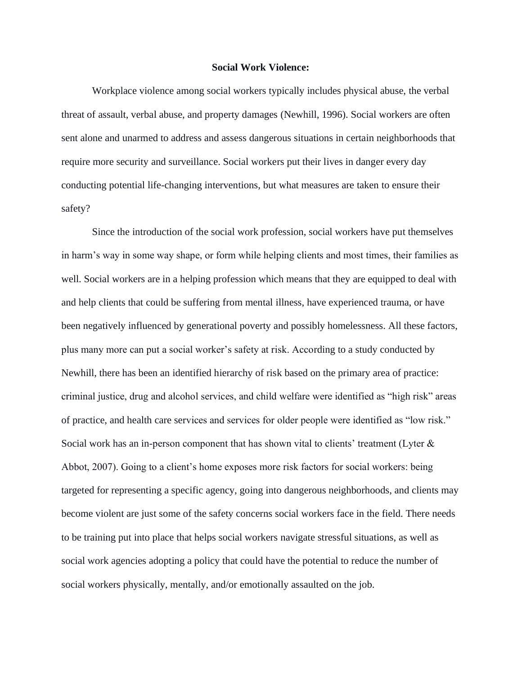# **Social Work Violence:**

Workplace violence among social workers typically includes physical abuse, the verbal threat of assault, verbal abuse, and property damages (Newhill, 1996). Social workers are often sent alone and unarmed to address and assess dangerous situations in certain neighborhoods that require more security and surveillance. Social workers put their lives in danger every day conducting potential life-changing interventions, but what measures are taken to ensure their safety?

Since the introduction of the social work profession, social workers have put themselves in harm's way in some way shape, or form while helping clients and most times, their families as well. Social workers are in a helping profession which means that they are equipped to deal with and help clients that could be suffering from mental illness, have experienced trauma, or have been negatively influenced by generational poverty and possibly homelessness. All these factors, plus many more can put a social worker's safety at risk. According to a study conducted by Newhill, there has been an identified hierarchy of risk based on the primary area of practice: criminal justice, drug and alcohol services, and child welfare were identified as "high risk" areas of practice, and health care services and services for older people were identified as "low risk." Social work has an in-person component that has shown vital to clients' treatment (Lyter & Abbot, 2007). Going to a client's home exposes more risk factors for social workers: being targeted for representing a specific agency, going into dangerous neighborhoods, and clients may become violent are just some of the safety concerns social workers face in the field. There needs to be training put into place that helps social workers navigate stressful situations, as well as social work agencies adopting a policy that could have the potential to reduce the number of social workers physically, mentally, and/or emotionally assaulted on the job.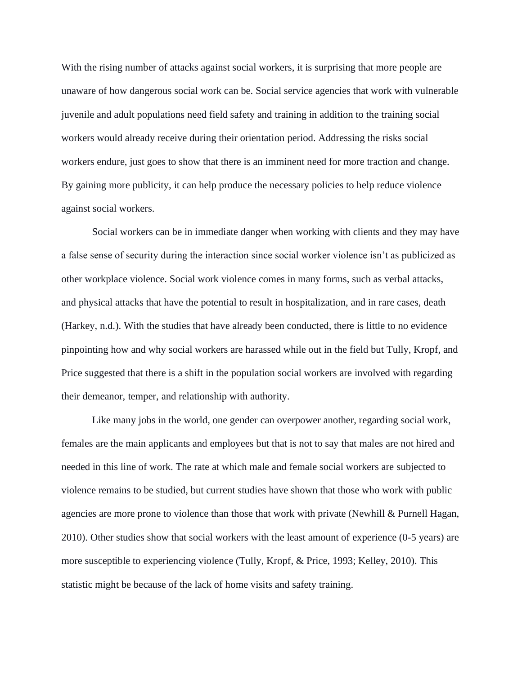With the rising number of attacks against social workers, it is surprising that more people are unaware of how dangerous social work can be. Social service agencies that work with vulnerable juvenile and adult populations need field safety and training in addition to the training social workers would already receive during their orientation period. Addressing the risks social workers endure, just goes to show that there is an imminent need for more traction and change. By gaining more publicity, it can help produce the necessary policies to help reduce violence against social workers.

Social workers can be in immediate danger when working with clients and they may have a false sense of security during the interaction since social worker violence isn't as publicized as other workplace violence. Social work violence comes in many forms, such as verbal attacks, and physical attacks that have the potential to result in hospitalization, and in rare cases, death (Harkey, n.d.). With the studies that have already been conducted, there is little to no evidence pinpointing how and why social workers are harassed while out in the field but Tully, Kropf, and Price suggested that there is a shift in the population social workers are involved with regarding their demeanor, temper, and relationship with authority.

Like many jobs in the world, one gender can overpower another, regarding social work, females are the main applicants and employees but that is not to say that males are not hired and needed in this line of work. The rate at which male and female social workers are subjected to violence remains to be studied, but current studies have shown that those who work with public agencies are more prone to violence than those that work with private (Newhill & Purnell Hagan, 2010). Other studies show that social workers with the least amount of experience (0-5 years) are more susceptible to experiencing violence (Tully, Kropf, & Price, 1993; Kelley, 2010). This statistic might be because of the lack of home visits and safety training.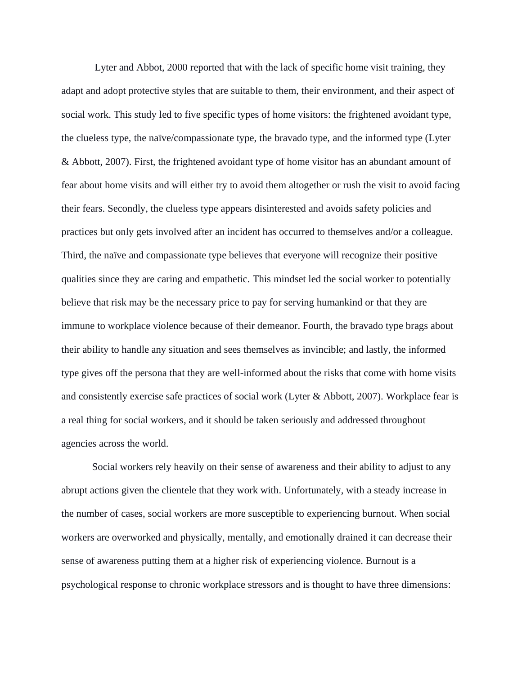Lyter and Abbot, 2000 reported that with the lack of specific home visit training, they adapt and adopt protective styles that are suitable to them, their environment, and their aspect of social work. This study led to five specific types of home visitors: the frightened avoidant type, the clueless type, the naïve/compassionate type, the bravado type, and the informed type (Lyter & Abbott, 2007). First, the frightened avoidant type of home visitor has an abundant amount of fear about home visits and will either try to avoid them altogether or rush the visit to avoid facing their fears. Secondly, the clueless type appears disinterested and avoids safety policies and practices but only gets involved after an incident has occurred to themselves and/or a colleague. Third, the naïve and compassionate type believes that everyone will recognize their positive qualities since they are caring and empathetic. This mindset led the social worker to potentially believe that risk may be the necessary price to pay for serving humankind or that they are immune to workplace violence because of their demeanor. Fourth, the bravado type brags about their ability to handle any situation and sees themselves as invincible; and lastly, the informed type gives off the persona that they are well-informed about the risks that come with home visits and consistently exercise safe practices of social work (Lyter & Abbott, 2007). Workplace fear is a real thing for social workers, and it should be taken seriously and addressed throughout agencies across the world.

Social workers rely heavily on their sense of awareness and their ability to adjust to any abrupt actions given the clientele that they work with. Unfortunately, with a steady increase in the number of cases, social workers are more susceptible to experiencing burnout. When social workers are overworked and physically, mentally, and emotionally drained it can decrease their sense of awareness putting them at a higher risk of experiencing violence. Burnout is a psychological response to chronic workplace stressors and is thought to have three dimensions: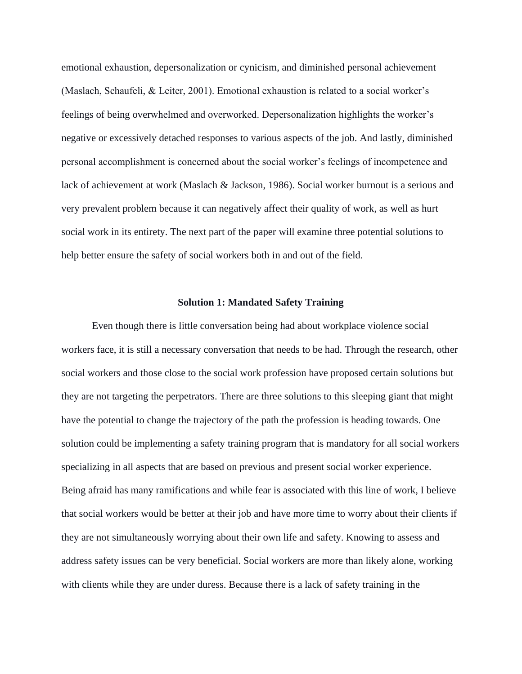emotional exhaustion, depersonalization or cynicism, and diminished personal achievement (Maslach, Schaufeli, & Leiter, 2001). Emotional exhaustion is related to a social worker's feelings of being overwhelmed and overworked. Depersonalization highlights the worker's negative or excessively detached responses to various aspects of the job. And lastly, diminished personal accomplishment is concerned about the social worker's feelings of incompetence and lack of achievement at work (Maslach & Jackson, 1986). Social worker burnout is a serious and very prevalent problem because it can negatively affect their quality of work, as well as hurt social work in its entirety. The next part of the paper will examine three potential solutions to help better ensure the safety of social workers both in and out of the field.

#### **Solution 1: Mandated Safety Training**

Even though there is little conversation being had about workplace violence social workers face, it is still a necessary conversation that needs to be had. Through the research, other social workers and those close to the social work profession have proposed certain solutions but they are not targeting the perpetrators. There are three solutions to this sleeping giant that might have the potential to change the trajectory of the path the profession is heading towards. One solution could be implementing a safety training program that is mandatory for all social workers specializing in all aspects that are based on previous and present social worker experience. Being afraid has many ramifications and while fear is associated with this line of work, I believe that social workers would be better at their job and have more time to worry about their clients if they are not simultaneously worrying about their own life and safety. Knowing to assess and address safety issues can be very beneficial. Social workers are more than likely alone, working with clients while they are under duress. Because there is a lack of safety training in the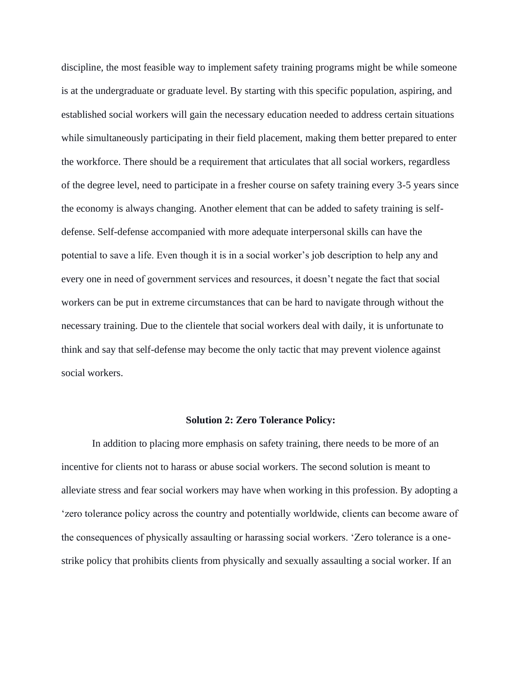discipline, the most feasible way to implement safety training programs might be while someone is at the undergraduate or graduate level. By starting with this specific population, aspiring, and established social workers will gain the necessary education needed to address certain situations while simultaneously participating in their field placement, making them better prepared to enter the workforce. There should be a requirement that articulates that all social workers, regardless of the degree level, need to participate in a fresher course on safety training every 3-5 years since the economy is always changing. Another element that can be added to safety training is selfdefense. Self-defense accompanied with more adequate interpersonal skills can have the potential to save a life. Even though it is in a social worker's job description to help any and every one in need of government services and resources, it doesn't negate the fact that social workers can be put in extreme circumstances that can be hard to navigate through without the necessary training. Due to the clientele that social workers deal with daily, it is unfortunate to think and say that self-defense may become the only tactic that may prevent violence against social workers.

#### **Solution 2: Zero Tolerance Policy:**

In addition to placing more emphasis on safety training, there needs to be more of an incentive for clients not to harass or abuse social workers. The second solution is meant to alleviate stress and fear social workers may have when working in this profession. By adopting a 'zero tolerance policy across the country and potentially worldwide, clients can become aware of the consequences of physically assaulting or harassing social workers. 'Zero tolerance is a onestrike policy that prohibits clients from physically and sexually assaulting a social worker. If an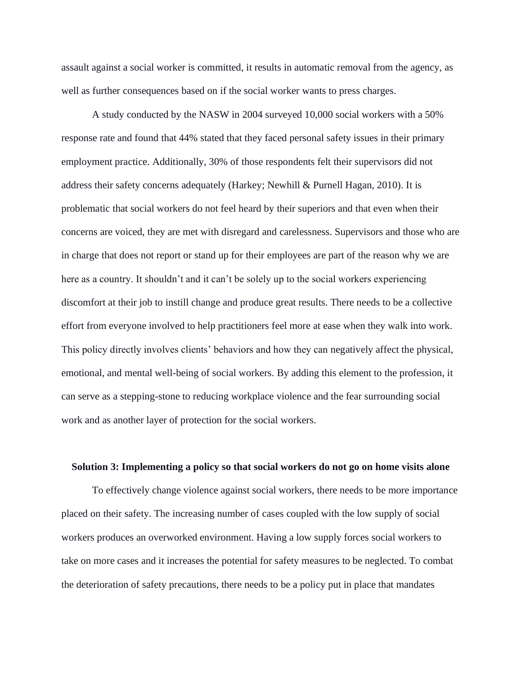assault against a social worker is committed, it results in automatic removal from the agency, as well as further consequences based on if the social worker wants to press charges.

A study conducted by the NASW in 2004 surveyed 10,000 social workers with a 50% response rate and found that 44% stated that they faced personal safety issues in their primary employment practice. Additionally, 30% of those respondents felt their supervisors did not address their safety concerns adequately (Harkey; Newhill & Purnell Hagan, 2010). It is problematic that social workers do not feel heard by their superiors and that even when their concerns are voiced, they are met with disregard and carelessness. Supervisors and those who are in charge that does not report or stand up for their employees are part of the reason why we are here as a country. It shouldn't and it can't be solely up to the social workers experiencing discomfort at their job to instill change and produce great results. There needs to be a collective effort from everyone involved to help practitioners feel more at ease when they walk into work. This policy directly involves clients' behaviors and how they can negatively affect the physical, emotional, and mental well-being of social workers. By adding this element to the profession, it can serve as a stepping-stone to reducing workplace violence and the fear surrounding social work and as another layer of protection for the social workers.

# **Solution 3: Implementing a policy so that social workers do not go on home visits alone**

To effectively change violence against social workers, there needs to be more importance placed on their safety. The increasing number of cases coupled with the low supply of social workers produces an overworked environment. Having a low supply forces social workers to take on more cases and it increases the potential for safety measures to be neglected. To combat the deterioration of safety precautions, there needs to be a policy put in place that mandates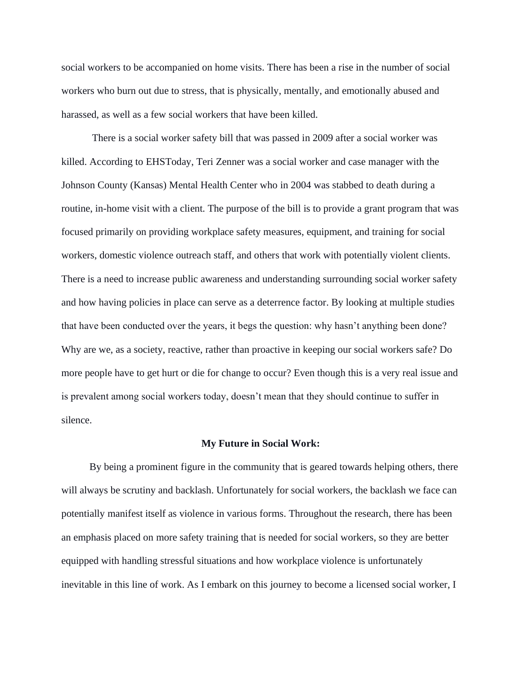social workers to be accompanied on home visits. There has been a rise in the number of social workers who burn out due to stress, that is physically, mentally, and emotionally abused and harassed, as well as a few social workers that have been killed.

There is a social worker safety bill that was passed in 2009 after a social worker was killed. According to EHSToday, Teri Zenner was a social worker and case manager with the Johnson County (Kansas) Mental Health Center who in 2004 was stabbed to death during a routine, in-home visit with a client. The purpose of the bill is to provide a grant program that was focused primarily on providing workplace safety measures, equipment, and training for social workers, domestic violence outreach staff, and others that work with potentially violent clients. There is a need to increase public awareness and understanding surrounding social worker safety and how having policies in place can serve as a deterrence factor. By looking at multiple studies that have been conducted over the years, it begs the question: why hasn't anything been done? Why are we, as a society, reactive, rather than proactive in keeping our social workers safe? Do more people have to get hurt or die for change to occur? Even though this is a very real issue and is prevalent among social workers today, doesn't mean that they should continue to suffer in silence.

### **My Future in Social Work:**

By being a prominent figure in the community that is geared towards helping others, there will always be scrutiny and backlash. Unfortunately for social workers, the backlash we face can potentially manifest itself as violence in various forms. Throughout the research, there has been an emphasis placed on more safety training that is needed for social workers, so they are better equipped with handling stressful situations and how workplace violence is unfortunately inevitable in this line of work. As I embark on this journey to become a licensed social worker, I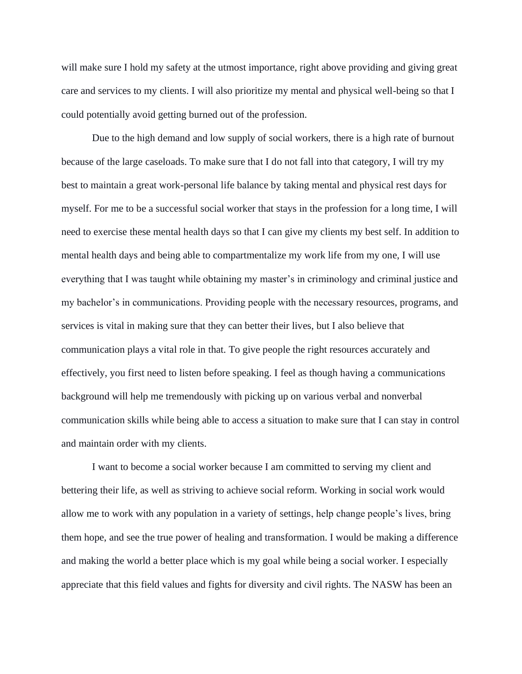will make sure I hold my safety at the utmost importance, right above providing and giving great care and services to my clients. I will also prioritize my mental and physical well-being so that I could potentially avoid getting burned out of the profession.

Due to the high demand and low supply of social workers, there is a high rate of burnout because of the large caseloads. To make sure that I do not fall into that category, I will try my best to maintain a great work-personal life balance by taking mental and physical rest days for myself. For me to be a successful social worker that stays in the profession for a long time, I will need to exercise these mental health days so that I can give my clients my best self. In addition to mental health days and being able to compartmentalize my work life from my one, I will use everything that I was taught while obtaining my master's in criminology and criminal justice and my bachelor's in communications. Providing people with the necessary resources, programs, and services is vital in making sure that they can better their lives, but I also believe that communication plays a vital role in that. To give people the right resources accurately and effectively, you first need to listen before speaking. I feel as though having a communications background will help me tremendously with picking up on various verbal and nonverbal communication skills while being able to access a situation to make sure that I can stay in control and maintain order with my clients.

I want to become a social worker because I am committed to serving my client and bettering their life, as well as striving to achieve social reform. Working in social work would allow me to work with any population in a variety of settings, help change people's lives, bring them hope, and see the true power of healing and transformation. I would be making a difference and making the world a better place which is my goal while being a social worker. I especially appreciate that this field values and fights for diversity and civil rights. The NASW has been an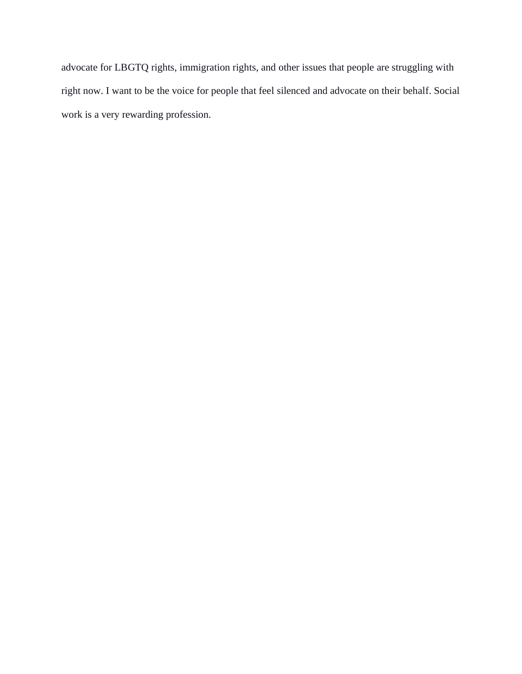advocate for LBGTQ rights, immigration rights, and other issues that people are struggling with right now. I want to be the voice for people that feel silenced and advocate on their behalf. Social work is a very rewarding profession.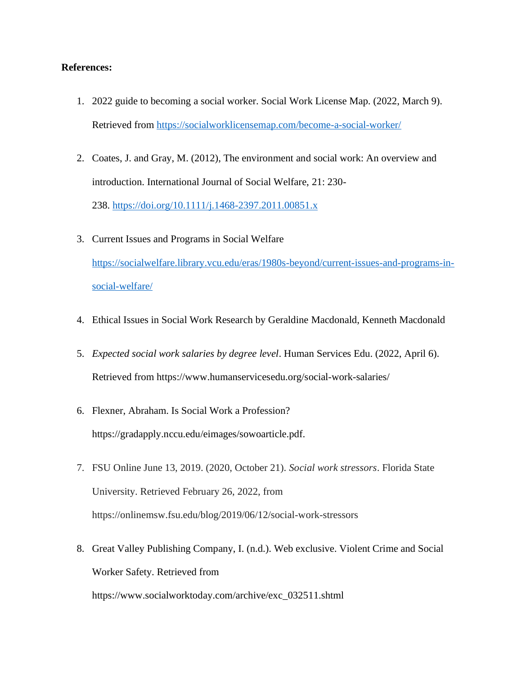# **References:**

- 1. 2022 guide to becoming a social worker. Social Work License Map. (2022, March 9). Retrieved from<https://socialworklicensemap.com/become-a-social-worker/>
- 2. Coates, J. and Gray, M. (2012), The environment and social work: An overview and introduction. International Journal of Social Welfare, 21: 230- 238. <https://doi.org/10.1111/j.1468-2397.2011.00851.x>
- 3. Current Issues and Programs in Social Welfare [https://socialwelfare.library.vcu.edu/eras/1980s-beyond/current-issues-and-programs-in](https://socialwelfare.library.vcu.edu/eras/1980s-beyond/current-issues-and-programs-in-social-welfare/)[social-welfare/](https://socialwelfare.library.vcu.edu/eras/1980s-beyond/current-issues-and-programs-in-social-welfare/)
- 4. Ethical Issues in Social Work Research by Geraldine Macdonald, Kenneth Macdonald
- 5. *Expected social work salaries by degree level*. Human Services Edu. (2022, April 6). Retrieved from https://www.humanservicesedu.org/social-work-salaries/
- 6. Flexner, Abraham. Is Social Work a Profession? https://gradapply.nccu.edu/eimages/sowoarticle.pdf.
- 7. FSU Online June 13, 2019. (2020, October 21). *Social work stressors*. Florida State University. Retrieved February 26, 2022, from https://onlinemsw.fsu.edu/blog/2019/06/12/social-work-stressors
- 8. Great Valley Publishing Company, I. (n.d.). Web exclusive. Violent Crime and Social Worker Safety. Retrieved from

https://www.socialworktoday.com/archive/exc\_032511.shtml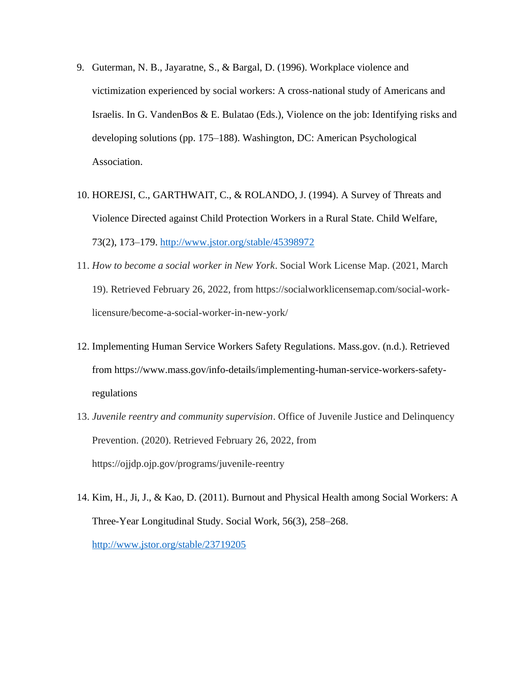- 9. Guterman, N. B., Jayaratne, S., & Bargal, D. (1996). Workplace violence and victimization experienced by social workers: A cross-national study of Americans and Israelis. In G. VandenBos & E. Bulatao (Eds.), Violence on the job: Identifying risks and developing solutions (pp. 175–188). Washington, DC: American Psychological Association.
- 10. HOREJSI, C., GARTHWAIT, C., & ROLANDO, J. (1994). A Survey of Threats and Violence Directed against Child Protection Workers in a Rural State. Child Welfare, 73(2), 173–179.<http://www.jstor.org/stable/45398972>
- 11. *How to become a social worker in New York*. Social Work License Map. (2021, March 19). Retrieved February 26, 2022, from https://socialworklicensemap.com/social-worklicensure/become-a-social-worker-in-new-york/
- 12. Implementing Human Service Workers Safety Regulations. Mass.gov. (n.d.). Retrieved from https://www.mass.gov/info-details/implementing-human-service-workers-safetyregulations
- 13. *Juvenile reentry and community supervision*. Office of Juvenile Justice and Delinquency Prevention. (2020). Retrieved February 26, 2022, from https://ojjdp.ojp.gov/programs/juvenile-reentry
- 14. Kim, H., Ji, J., & Kao, D. (2011). Burnout and Physical Health among Social Workers: A Three-Year Longitudinal Study. Social Work, 56(3), 258–268. <http://www.jstor.org/stable/23719205>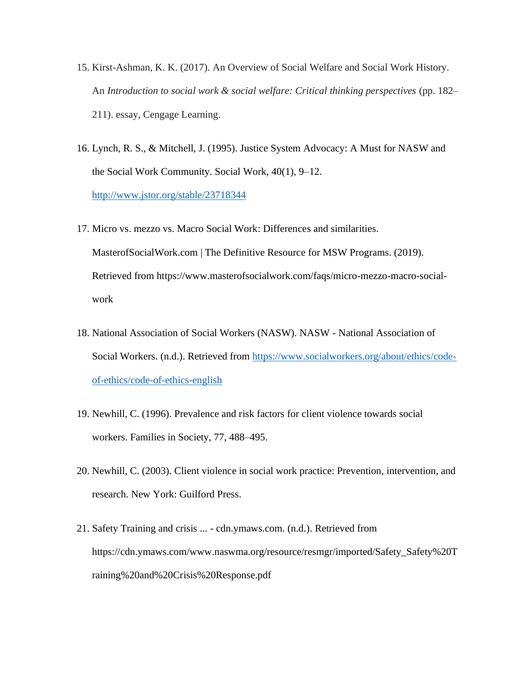- 15. Kirst-Ashman, K. K. (2017). An Overview of Social Welfare and Social Work History. An *Introduction to social work & social welfare: Critical thinking perspectives* (pp. 182– 211). essay, Cengage Learning.
- 16. Lynch, R. S., & Mitchell, J. (1995). Justice System Advocacy: A Must for NASW and the Social Work Community. Social Work, 40(1), 9–12. <http://www.jstor.org/stable/23718344>
- 17. Micro vs. mezzo vs. Macro Social Work: Differences and similarities. MasterofSocialWork.com | The Definitive Resource for MSW Programs. (2019). Retrieved from https://www.masterofsocialwork.com/faqs/micro-mezzo-macro-socialwork
- 18. National Association of Social Workers (NASW). NASW National Association of Social Workers. (n.d.). Retrieved from [https://www.socialworkers.org/about/ethics/code](https://www.socialworkers.org/about/ethics/code-of-ethics/code-of-ethics-english)[of-ethics/code-of-ethics-english](https://www.socialworkers.org/about/ethics/code-of-ethics/code-of-ethics-english)
- 19. Newhill, C. (1996). Prevalence and risk factors for client violence towards social workers. Families in Society, 77, 488–495.
- 20. Newhill, C. (2003). Client violence in social work practice: Prevention, intervention, and research. New York: Guilford Press.
- 21. Safety Training and crisis ... cdn.ymaws.com. (n.d.). Retrieved from https://cdn.ymaws.com/www.naswma.org/resource/resmgr/imported/Safety\_Safety%20T raining%20and%20Crisis%20Response.pdf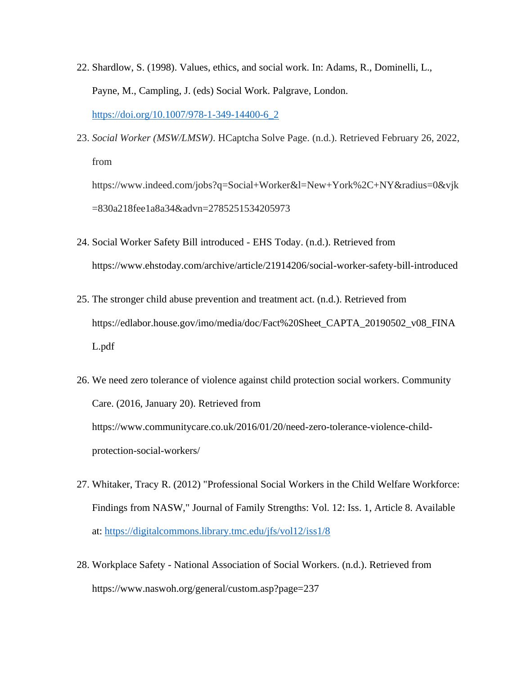- 22. Shardlow, S. (1998). Values, ethics, and social work. In: Adams, R., Dominelli, L., Payne, M., Campling, J. (eds) Social Work. Palgrave, London. [https://doi.org/10.1007/978-1-349-14400-6\\_2](https://doi.org/10.1007/978-1-349-14400-6_2)
- 23. *Social Worker (MSW/LMSW)*. HCaptcha Solve Page. (n.d.). Retrieved February 26, 2022, from

https://www.indeed.com/jobs?q=Social+Worker&l=New+York%2C+NY&radius=0&vjk =830a218fee1a8a34&advn=2785251534205973

- 24. Social Worker Safety Bill introduced EHS Today. (n.d.). Retrieved from https://www.ehstoday.com/archive/article/21914206/social-worker-safety-bill-introduced
- 25. The stronger child abuse prevention and treatment act. (n.d.). Retrieved from https://edlabor.house.gov/imo/media/doc/Fact%20Sheet\_CAPTA\_20190502\_v08\_FINA L.pdf
- 26. We need zero tolerance of violence against child protection social workers. Community Care. (2016, January 20). Retrieved from https://www.communitycare.co.uk/2016/01/20/need-zero-tolerance-violence-childprotection-social-workers/
- 27. Whitaker, Tracy R. (2012) "Professional Social Workers in the Child Welfare Workforce: Findings from NASW," Journal of Family Strengths: Vol. 12: Iss. 1, Article 8. Available at:<https://digitalcommons.library.tmc.edu/jfs/vol12/iss1/8>
- 28. Workplace Safety National Association of Social Workers. (n.d.). Retrieved from https://www.naswoh.org/general/custom.asp?page=237